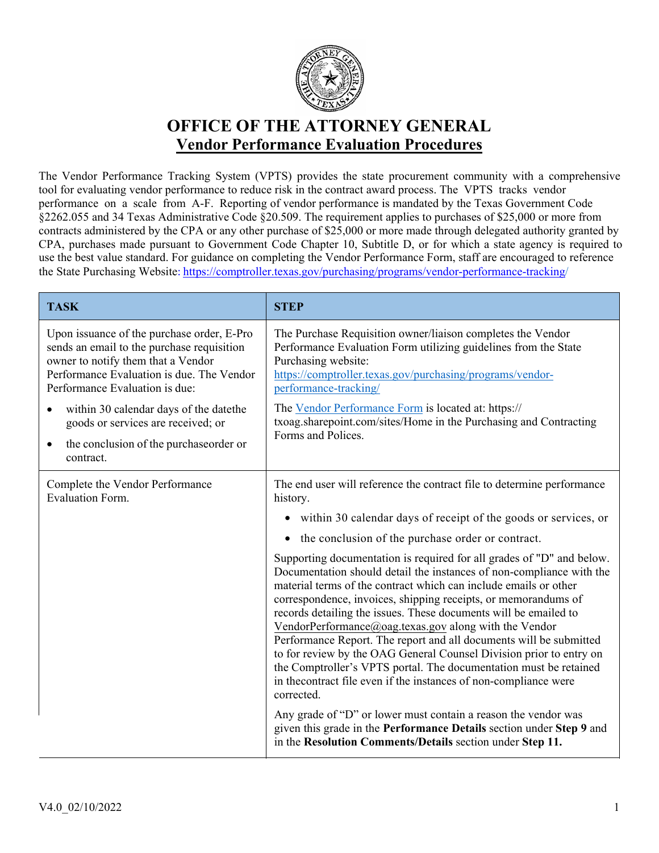

## **OFFICE OF THE ATTORNEY GENERAL Vendor Performance Evaluation Procedures**

The Vendor Performance Tracking System (VPTS) provides the state procurement community with a comprehensive tool for evaluating vendor performance to reduce risk in the contract award process. The VPTS tracks vendor performance on a scale from A-F. Reporting of vendor performance is mandated by the Texas Government Code §2262.055 and 34 Texas Administrative Code §20.509. The requirement applies to purchases of \$25,000 or more from contracts administered by the CPA or any other purchase of \$25,000 or more made through delegated authority granted by CPA, purchases made pursuant to Government Code Chapter 10, Subtitle D, or for which a state agency is required to use the best value standard. For guidance on completing the Vendor Performance Form, staff are encouraged to reference the State Purchasing Website: https://comptroller.texas.gov/purchasing/programs/vendor-performance-tracking/

| <b>TASK</b>                                                                                                                                                                                                                                                                                                                                                | <b>STEP</b>                                                                                                                                                                                                                                                                                                                                                                                                                                                                                                                                                                                                                                                                                                                                                                                                                                                                                                                                                                                                                                                                                                                                  |
|------------------------------------------------------------------------------------------------------------------------------------------------------------------------------------------------------------------------------------------------------------------------------------------------------------------------------------------------------------|----------------------------------------------------------------------------------------------------------------------------------------------------------------------------------------------------------------------------------------------------------------------------------------------------------------------------------------------------------------------------------------------------------------------------------------------------------------------------------------------------------------------------------------------------------------------------------------------------------------------------------------------------------------------------------------------------------------------------------------------------------------------------------------------------------------------------------------------------------------------------------------------------------------------------------------------------------------------------------------------------------------------------------------------------------------------------------------------------------------------------------------------|
| Upon issuance of the purchase order, E-Pro<br>sends an email to the purchase requisition<br>owner to notify them that a Vendor<br>Performance Evaluation is due. The Vendor<br>Performance Evaluation is due:<br>within 30 calendar days of the datethe<br>goods or services are received; or<br>the conclusion of the purchase order or<br>٠<br>contract. | The Purchase Requisition owner/liaison completes the Vendor<br>Performance Evaluation Form utilizing guidelines from the State<br>Purchasing website:<br>https://comptroller.texas.gov/purchasing/programs/vendor-<br>performance-tracking/<br>The Vendor Performance Form is located at: https://<br>txoag.sharepoint.com/sites/Home in the Purchasing and Contracting<br>Forms and Polices.                                                                                                                                                                                                                                                                                                                                                                                                                                                                                                                                                                                                                                                                                                                                                |
| Complete the Vendor Performance<br><b>Evaluation Form.</b>                                                                                                                                                                                                                                                                                                 | The end user will reference the contract file to determine performance<br>history.<br>• within 30 calendar days of receipt of the goods or services, or<br>the conclusion of the purchase order or contract.<br>Supporting documentation is required for all grades of "D" and below.<br>Documentation should detail the instances of non-compliance with the<br>material terms of the contract which can include emails or other<br>correspondence, invoices, shipping receipts, or memorandums of<br>records detailing the issues. These documents will be emailed to<br>VendorPerformance@oag.texas.gov along with the Vendor<br>Performance Report. The report and all documents will be submitted<br>to for review by the OAG General Counsel Division prior to entry on<br>the Comptroller's VPTS portal. The documentation must be retained<br>in the contract file even if the instances of non-compliance were<br>corrected.<br>Any grade of "D" or lower must contain a reason the vendor was<br>given this grade in the Performance Details section under Step 9 and<br>in the Resolution Comments/Details section under Step 11. |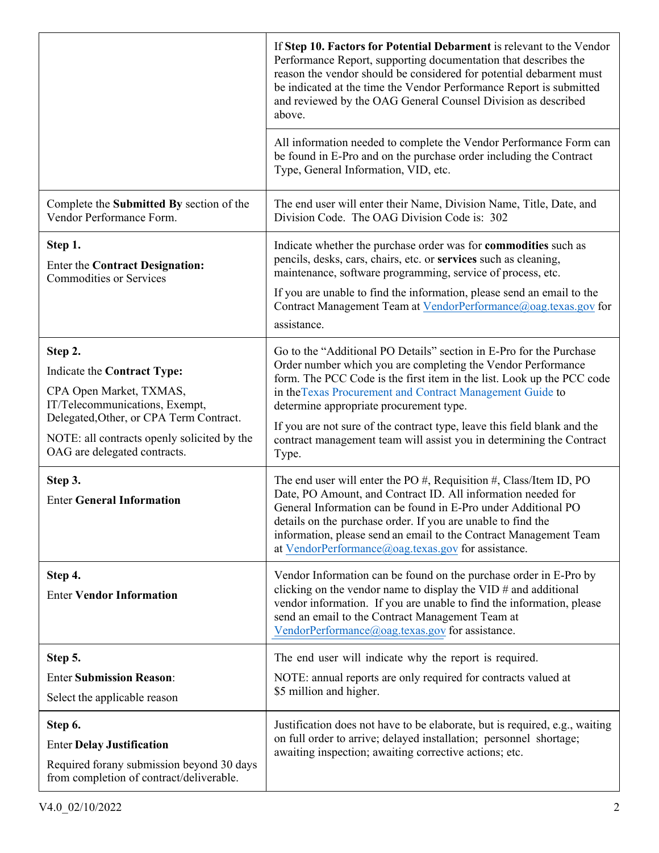|                                                                                                                                                                                                                               | If Step 10. Factors for Potential Debarment is relevant to the Vendor<br>Performance Report, supporting documentation that describes the<br>reason the vendor should be considered for potential debarment must<br>be indicated at the time the Vendor Performance Report is submitted<br>and reviewed by the OAG General Counsel Division as described<br>above.                                                                                                                  |
|-------------------------------------------------------------------------------------------------------------------------------------------------------------------------------------------------------------------------------|------------------------------------------------------------------------------------------------------------------------------------------------------------------------------------------------------------------------------------------------------------------------------------------------------------------------------------------------------------------------------------------------------------------------------------------------------------------------------------|
|                                                                                                                                                                                                                               | All information needed to complete the Vendor Performance Form can<br>be found in E-Pro and on the purchase order including the Contract<br>Type, General Information, VID, etc.                                                                                                                                                                                                                                                                                                   |
| Complete the Submitted By section of the<br>Vendor Performance Form.                                                                                                                                                          | The end user will enter their Name, Division Name, Title, Date, and<br>Division Code. The OAG Division Code is: 302                                                                                                                                                                                                                                                                                                                                                                |
| Step 1.<br><b>Enter the Contract Designation:</b><br><b>Commodities or Services</b>                                                                                                                                           | Indicate whether the purchase order was for commodities such as<br>pencils, desks, cars, chairs, etc. or services such as cleaning,<br>maintenance, software programming, service of process, etc.<br>If you are unable to find the information, please send an email to the<br>Contract Management Team at VendorPerformance@oag.texas.gov for<br>assistance.                                                                                                                     |
| Step 2.<br>Indicate the Contract Type:<br>CPA Open Market, TXMAS,<br>IT/Telecommunications, Exempt,<br>Delegated, Other, or CPA Term Contract.<br>NOTE: all contracts openly solicited by the<br>OAG are delegated contracts. | Go to the "Additional PO Details" section in E-Pro for the Purchase<br>Order number which you are completing the Vendor Performance<br>form. The PCC Code is the first item in the list. Look up the PCC code<br>in the Texas Procurement and Contract Management Guide to<br>determine appropriate procurement type.<br>If you are not sure of the contract type, leave this field blank and the<br>contract management team will assist you in determining the Contract<br>Type. |
| Step 3.<br><b>Enter General Information</b>                                                                                                                                                                                   | The end user will enter the PO $#$ , Requisition $#$ , Class/Item ID, PO<br>Date, PO Amount, and Contract ID. All information needed for<br>General Information can be found in E-Pro under Additional PO<br>details on the purchase order. If you are unable to find the<br>information, please send an email to the Contract Management Team<br>at VendorPerformance@oag.texas.gov for assistance.                                                                               |
| Step 4.<br><b>Enter Vendor Information</b>                                                                                                                                                                                    | Vendor Information can be found on the purchase order in E-Pro by<br>clicking on the vendor name to display the VID $#$ and additional<br>vendor information. If you are unable to find the information, please<br>send an email to the Contract Management Team at<br>VendorPerformance@oag.texas.gov for assistance.                                                                                                                                                             |
| Step 5.                                                                                                                                                                                                                       | The end user will indicate why the report is required.                                                                                                                                                                                                                                                                                                                                                                                                                             |
| <b>Enter Submission Reason:</b><br>Select the applicable reason                                                                                                                                                               | NOTE: annual reports are only required for contracts valued at<br>\$5 million and higher.                                                                                                                                                                                                                                                                                                                                                                                          |
| Step 6.<br><b>Enter Delay Justification</b><br>Required forany submission beyond 30 days<br>from completion of contract/deliverable.                                                                                          | Justification does not have to be elaborate, but is required, e.g., waiting<br>on full order to arrive; delayed installation; personnel shortage;<br>awaiting inspection; awaiting corrective actions; etc.                                                                                                                                                                                                                                                                        |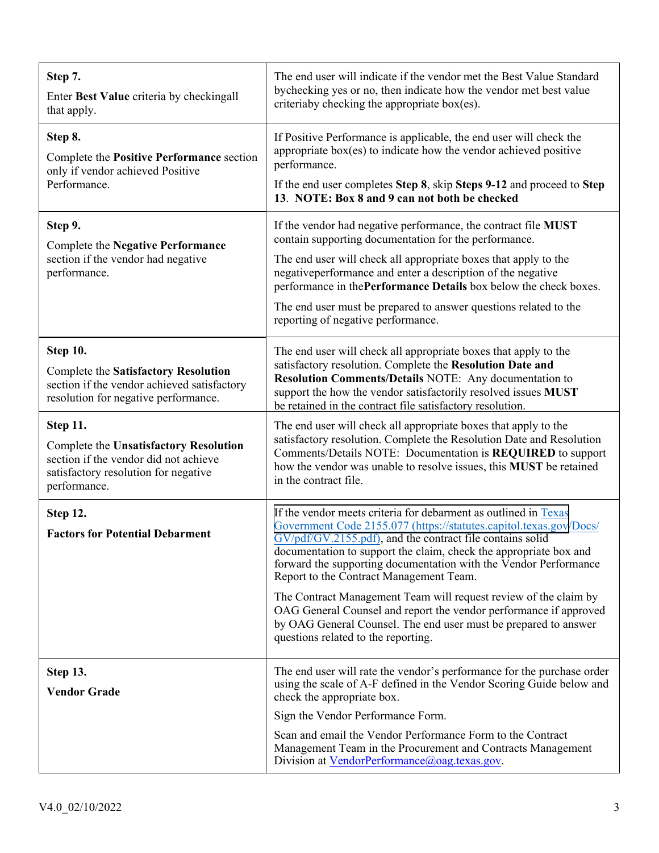| Step 7.<br>Enter Best Value criteria by checkingall<br>that apply.                                                                                         | The end user will indicate if the vendor met the Best Value Standard<br>bychecking yes or no, then indicate how the vendor met best value<br>criteriaby checking the appropriate box(es).                                                                                                                                                                                                                                                                                                                                                                                                                                                 |
|------------------------------------------------------------------------------------------------------------------------------------------------------------|-------------------------------------------------------------------------------------------------------------------------------------------------------------------------------------------------------------------------------------------------------------------------------------------------------------------------------------------------------------------------------------------------------------------------------------------------------------------------------------------------------------------------------------------------------------------------------------------------------------------------------------------|
| Step 8.<br>Complete the Positive Performance section<br>only if vendor achieved Positive<br>Performance.                                                   | If Positive Performance is applicable, the end user will check the<br>appropriate box(es) to indicate how the vendor achieved positive<br>performance.<br>If the end user completes Step 8, skip Steps 9-12 and proceed to Step<br>13. NOTE: Box 8 and 9 can not both be checked                                                                                                                                                                                                                                                                                                                                                          |
| Step 9.<br><b>Complete the Negative Performance</b><br>section if the vendor had negative<br>performance.                                                  | If the vendor had negative performance, the contract file MUST<br>contain supporting documentation for the performance.<br>The end user will check all appropriate boxes that apply to the<br>negativeperformance and enter a description of the negative<br>performance in the Performance Details box below the check boxes.<br>The end user must be prepared to answer questions related to the<br>reporting of negative performance.                                                                                                                                                                                                  |
| <b>Step 10.</b><br><b>Complete the Satisfactory Resolution</b><br>section if the vendor achieved satisfactory<br>resolution for negative performance.      | The end user will check all appropriate boxes that apply to the<br>satisfactory resolution. Complete the Resolution Date and<br>Resolution Comments/Details NOTE: Any documentation to<br>support the how the vendor satisfactorily resolved issues MUST<br>be retained in the contract file satisfactory resolution.                                                                                                                                                                                                                                                                                                                     |
| Step 11.<br><b>Complete the Unsatisfactory Resolution</b><br>section if the vendor did not achieve<br>satisfactory resolution for negative<br>performance. | The end user will check all appropriate boxes that apply to the<br>satisfactory resolution. Complete the Resolution Date and Resolution<br>Comments/Details NOTE: Documentation is REQUIRED to support<br>how the vendor was unable to resolve issues, this MUST be retained<br>in the contract file.                                                                                                                                                                                                                                                                                                                                     |
| Step 12.<br><b>Factors for Potential Debarment</b>                                                                                                         | If the vendor meets criteria for debarment as outlined in Texas<br>Government Code 2155.077 (https://statutes.capitol.texas.gov/Docs/<br>GV/pdf/GV.2155.pdf), and the contract file contains solid<br>documentation to support the claim, check the appropriate box and<br>forward the supporting documentation with the Vendor Performance<br>Report to the Contract Management Team.<br>The Contract Management Team will request review of the claim by<br>OAG General Counsel and report the vendor performance if approved<br>by OAG General Counsel. The end user must be prepared to answer<br>questions related to the reporting. |
| <b>Step 13.</b><br><b>Vendor Grade</b>                                                                                                                     | The end user will rate the vendor's performance for the purchase order<br>using the scale of A-F defined in the Vendor Scoring Guide below and<br>check the appropriate box.<br>Sign the Vendor Performance Form.<br>Scan and email the Vendor Performance Form to the Contract<br>Management Team in the Procurement and Contracts Management<br>Division at <u>VendorPerformance@oag.texas.gov</u> .                                                                                                                                                                                                                                    |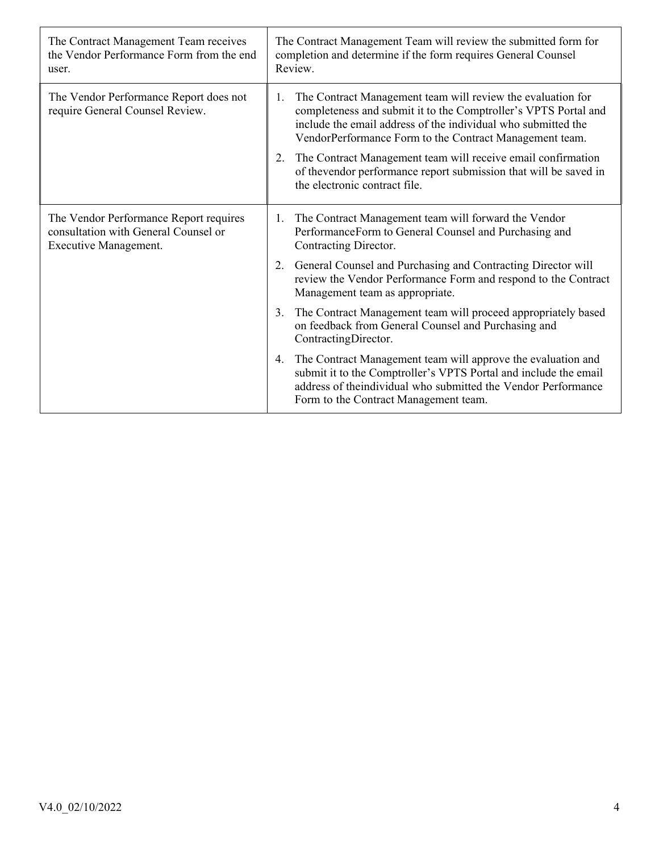| The Contract Management Team receives<br>the Vendor Performance Form from the end<br>user.              | The Contract Management Team will review the submitted form for<br>completion and determine if the form requires General Counsel<br>Review.                                                                                                                                                                                                                                                                                                 |  |
|---------------------------------------------------------------------------------------------------------|---------------------------------------------------------------------------------------------------------------------------------------------------------------------------------------------------------------------------------------------------------------------------------------------------------------------------------------------------------------------------------------------------------------------------------------------|--|
| The Vendor Performance Report does not<br>require General Counsel Review.                               | The Contract Management team will review the evaluation for<br>1.<br>completeness and submit it to the Comptroller's VPTS Portal and<br>include the email address of the individual who submitted the<br>VendorPerformance Form to the Contract Management team.<br>The Contract Management team will receive email confirmation<br>2.<br>of thevendor performance report submission that will be saved in<br>the electronic contract file. |  |
| The Vendor Performance Report requires<br>consultation with General Counsel or<br>Executive Management. | The Contract Management team will forward the Vendor<br>1.<br>PerformanceForm to General Counsel and Purchasing and<br>Contracting Director.                                                                                                                                                                                                                                                                                                |  |
|                                                                                                         | General Counsel and Purchasing and Contracting Director will<br>2.<br>review the Vendor Performance Form and respond to the Contract<br>Management team as appropriate.                                                                                                                                                                                                                                                                     |  |
|                                                                                                         | The Contract Management team will proceed appropriately based<br>3.<br>on feedback from General Counsel and Purchasing and<br>ContractingDirector.                                                                                                                                                                                                                                                                                          |  |
|                                                                                                         | The Contract Management team will approve the evaluation and<br>4.<br>submit it to the Comptroller's VPTS Portal and include the email<br>address of the individual who submitted the Vendor Performance<br>Form to the Contract Management team.                                                                                                                                                                                           |  |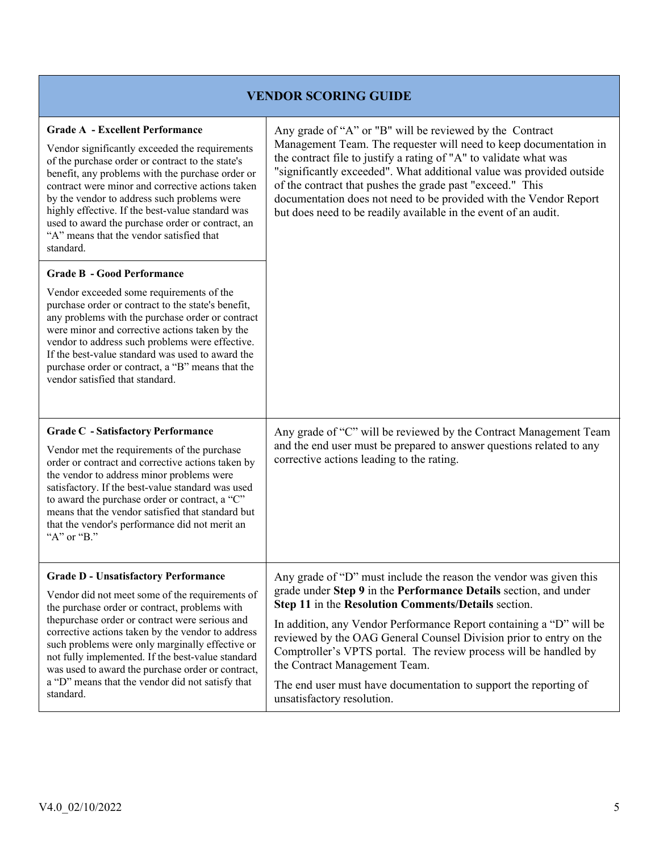## **VENDOR SCORING GUIDE**

| <b>Grade A - Excellent Performance</b>                                                                                                                                                                                                                                                                                                                                                                                     | Any grade of "A" or "B" will be reviewed by the Contract                                                                                                                                                                                                                                                                                                                                                            |
|----------------------------------------------------------------------------------------------------------------------------------------------------------------------------------------------------------------------------------------------------------------------------------------------------------------------------------------------------------------------------------------------------------------------------|---------------------------------------------------------------------------------------------------------------------------------------------------------------------------------------------------------------------------------------------------------------------------------------------------------------------------------------------------------------------------------------------------------------------|
| Vendor significantly exceeded the requirements<br>of the purchase order or contract to the state's<br>benefit, any problems with the purchase order or<br>contract were minor and corrective actions taken<br>by the vendor to address such problems were<br>highly effective. If the best-value standard was<br>used to award the purchase order or contract, an<br>"A" means that the vendor satisfied that<br>standard. | Management Team. The requester will need to keep documentation in<br>the contract file to justify a rating of "A" to validate what was<br>"significantly exceeded". What additional value was provided outside<br>of the contract that pushes the grade past "exceed." This<br>documentation does not need to be provided with the Vendor Report<br>but does need to be readily available in the event of an audit. |
| <b>Grade B - Good Performance</b>                                                                                                                                                                                                                                                                                                                                                                                          |                                                                                                                                                                                                                                                                                                                                                                                                                     |
| Vendor exceeded some requirements of the<br>purchase order or contract to the state's benefit,<br>any problems with the purchase order or contract<br>were minor and corrective actions taken by the<br>vendor to address such problems were effective.<br>If the best-value standard was used to award the<br>purchase order or contract, a "B" means that the<br>vendor satisfied that standard.                         |                                                                                                                                                                                                                                                                                                                                                                                                                     |
|                                                                                                                                                                                                                                                                                                                                                                                                                            |                                                                                                                                                                                                                                                                                                                                                                                                                     |
| <b>Grade C</b> - Satisfactory Performance<br>Vendor met the requirements of the purchase<br>order or contract and corrective actions taken by<br>the vendor to address minor problems were<br>satisfactory. If the best-value standard was used<br>to award the purchase order or contract, a "C"<br>means that the vendor satisfied that standard but<br>that the vendor's performance did not merit an<br>"A" or "B."    | Any grade of "C" will be reviewed by the Contract Management Team<br>and the end user must be prepared to answer questions related to any<br>corrective actions leading to the rating.                                                                                                                                                                                                                              |
| <b>Grade D - Unsatisfactory Performance</b>                                                                                                                                                                                                                                                                                                                                                                                | Any grade of "D" must include the reason the vendor was given this                                                                                                                                                                                                                                                                                                                                                  |
| Vendor did not meet some of the requirements of<br>the purchase order or contract, problems with                                                                                                                                                                                                                                                                                                                           | grade under Step 9 in the Performance Details section, and under<br>Step 11 in the Resolution Comments/Details section.                                                                                                                                                                                                                                                                                             |
| thepurchase order or contract were serious and<br>corrective actions taken by the vendor to address<br>such problems were only marginally effective or<br>not fully implemented. If the best-value standard<br>was used to award the purchase order or contract,<br>a "D" means that the vendor did not satisfy that                                                                                                       | In addition, any Vendor Performance Report containing a "D" will be<br>reviewed by the OAG General Counsel Division prior to entry on the<br>Comptroller's VPTS portal. The review process will be handled by<br>the Contract Management Team.                                                                                                                                                                      |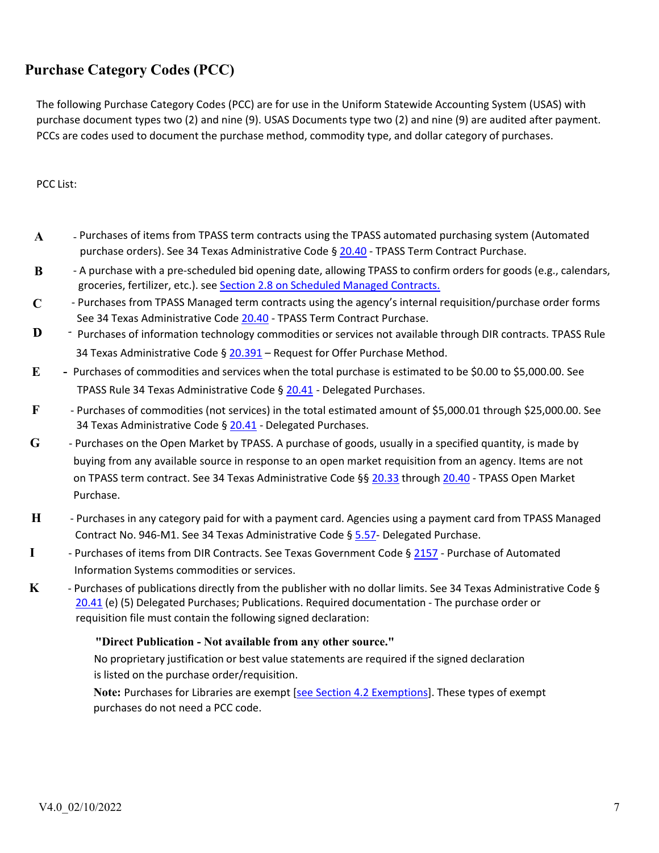## **Purchase Category Codes (PCC)**

The following Purchase Category Codes (PCC) are for use in the Uniform Statewide Accounting System (USAS) with purchase document types two (2) and nine (9). USAS Documents type two (2) and nine (9) are audited after payment. PCCs are codes used to document the purchase method, commodity type, and dollar category of purchases.

PCC List:

- **A** Purchases of items from TPASS term contracts using the TPASS automated purchasing system (Automated purchase orders). See 34 Texas Administrative Code § 20.40 - TPASS Term Contract Purchase.
- **B** A purchase with a pre-scheduled bid opening date, allowing TPASS to confirm orders for goods (e.g., calendars, groceries, fertilizer, etc.). see Section 2.8 on Scheduled Managed Contracts.
- **C** Purchases from TPASS Managed term contracts using the agency's internal requisition/purchase order forms See 34 Texas Administrative Code 20.40 - TPASS Term Contract Purchase.
- D - Purchases of information technology commodities or services not available through DIR contracts. TPASS Rule 34 Texas Administrative Code §  $20.391$  – Request for Offer [Purchase](http://www.window.state.tx.us/procurement/pub/manual/2-8.pdf) Method.
- **E** Purchases of commodities and services when the total purchase is estimated to be \$0.00 to \$5,000.00. See TPASS Rule 34 Texas Administrative Code § 20.41 - Delegated Purchases.
- **F** Purchases of commodities [\(not se](http://texreg.sos.state.tx.us/public/readtac%24ext.TacPage?sl=R&app=9&p_dir&p_rloc&p_tloc&p_ploc&pg=1&p_tac&ti=34&pt=1&ch=20&rl=40)rvices) in the total estimated amount of \$5,000.01 through \$25,000.00. See 34 Texas Administrative Code § [20.41](http://texreg.sos.state.tx.us/public/readtac%24ext.TacPage?sl=R&app=9&p_dir&p_rloc&p_tloc&p_ploc&pg=1&p_tac&ti=34&pt=1&ch=20&rl=41) [-](http://texreg.sos.state.tx.us/public/readtac%24ext.TacPage?sl=R&app=9&p_dir&p_rloc&p_tloc&p_ploc&pg=1&p_tac&ti=34&pt=1&ch=20&rl=41) Delegated Purchases.
- **G** Purchases on the Open Market by TPASS. A purchase of goods, usually in a specified quantity, is made by buying from any available source in response to an open market requisition from an agency. Items are not on TPASS term contract. See 34 Texas Administrative Code §§ 20.33 through 20.40 - TPASS Open Market Purchase.
- **H** Purchases in any category paid for with a payment card. Agencies using a payment card from TPASS Managed Contract No. 946-M1. See 34 Texas Administrative Code § 5.57- Delegated Purchase.
- **I** Purchases of items from DIR Contracts. See Texas Government Code § 2157 Purchase of Automated Information Systems commodities or services.
- **K** Purchases of publications directly from the publisher with no dollar limits. See 34 Texas Administrative Code § 20.41 (e) (5) Delegated Purchases; Publications. Required documentation - The purchase order or requisition file must contain the following signed declaration:

## **"Direct Publication - Not available from [any](http://texreg.sos.state.tx.us/public/readtac%24ext.TacPage?sl=R&app=9&p_dir&p_rloc&p_tloc&p_ploc&pg=1&p_tac&ti=34&pt=1&ch=20&rl=33) other s[ource."](http://texreg.sos.state.tx.us/public/readtac%24ext.TacPage?sl=R&app=9&p_dir&p_rloc&p_tloc&p_ploc&pg=1&p_tac&ti=34&pt=1&ch=20&rl=40)**

No proprietary justification or best value statements are required if the signed declaration is listed on the purchase order/requisition.

**Note:** Purchases for Libraries are exempt [se[e Section](http://texreg.sos.state.tx.us/public/readtac%24ext.TacPage?sl=R&app=9&p_dir&p_rloc&p_tloc&p_ploc&pg=1&p_tac&ti=34&pt=1&ch=5&rl=57) 4.2 Exemptions]. These types of exempt purchases do not need a PCC code.